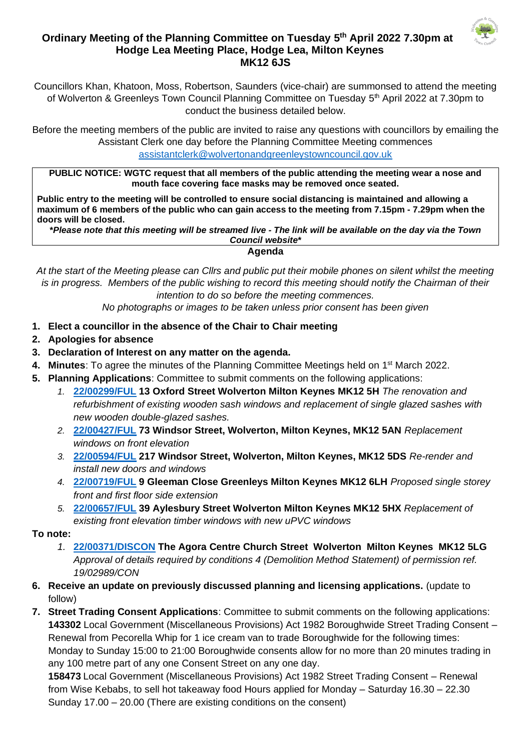

## **Ordinary Meeting of the Planning Committee on Tuesday 5 th April 2022 7.30pm at Hodge Lea Meeting Place, Hodge Lea, Milton Keynes MK12 6JS**

Councillors Khan, Khatoon, Moss, Robertson, Saunders (vice-chair) are summonsed to attend the meeting of Wolverton & Greenleys Town Council Planning Committee on Tuesday 5<sup>th</sup> April 2022 at 7.30pm to conduct the business detailed below.

Before the meeting members of the public are invited to raise any questions with councillors by emailing the Assistant Clerk one day before the Planning Committee Meeting commences [assistantclerk@wolvertonandgreenleystowncouncil.gov.uk](mailto:assistantclerk@wolvertonandgreenleystowncouncil.gov.uk)

**PUBLIC NOTICE: WGTC request that all members of the public attending the meeting wear a nose and mouth face covering face masks may be removed once seated.** 

**Public entry to the meeting will be controlled to ensure social distancing is maintained and allowing a maximum of 6 members of the public who can gain access to the meeting from 7.15pm - 7.29pm when the doors will be closed.**

**\****Please note that this meeting will be streamed live - The link will be available on the day via the Town Council website***\***

**Agenda**

*At the start of the Meeting please can Cllrs and public put their mobile phones on silent whilst the meeting is in progress. Members of the public wishing to record this meeting should notify the Chairman of their intention to do so before the meeting commences.* 

*No photographs or images to be taken unless prior consent has been given*

- **1. Elect a councillor in the absence of the Chair to Chair meeting**
- **2. Apologies for absence**
- **3. Declaration of Interest on any matter on the agenda.**
- 4. Minutes: To agree the minutes of the Planning Committee Meetings held on 1<sup>st</sup> March 2022.
- **5. Planning Applications**: Committee to submit comments on the following applications:
	- *1.* **[22/00299/FUL](https://npaedms.milton-keynes.gov.uk/PublicAccess_Corplive/SearchResult/RunThirdPartySearch?FileSystemId=DC&FOLDER1_REF=22/00299/FUL) 13 Oxford Street Wolverton Milton Keynes MK12 5H** *The renovation and refurbishment of existing wooden sash windows and replacement of single glazed sashes with new wooden double-glazed sashes.*
	- *2.* **[22/00427/FUL](https://npaedms.milton-keynes.gov.uk/PublicAccess_Corplive/SearchResult/RunThirdPartySearch?FileSystemId=DC&FOLDER1_REF=22/00427/FUL) 73 Windsor Street, Wolverton, Milton Keynes, MK12 5AN** *Replacement windows on front elevation*
	- *3.* **[22/00594/FUL](https://npaedms.milton-keynes.gov.uk/PublicAccess_Corplive/SearchResult/RunThirdPartySearch?FileSystemId=DC&FOLDER1_REF=22/00594/FUL) 217 Windsor Street, Wolverton, Milton Keynes, MK12 5DS** *Re-render and install new doors and windows*
	- *4.* **[22/00719/FUL](https://npaedms.milton-keynes.gov.uk/PublicAccess_Corplive/SearchResult/RunThirdPartySearch?FileSystemId=DC&FOLDER1_REF=22/00719/FUL) 9 Gleeman Close Greenleys Milton Keynes MK12 6LH** *Proposed single storey front and first floor side extension*
	- *5.* **[22/00657/FUL](https://npaedms.milton-keynes.gov.uk/PublicAccess_Corplive/SearchResult/RunThirdPartySearch?FileSystemId=DC&FOLDER1_REF=22/00657/FUL) 39 Aylesbury Street Wolverton Milton Keynes MK12 5HX** *Replacement of existing front elevation timber windows with new uPVC windows*

**To note:**

- *1.* **[22/00371/DISCON](https://npaedms.milton-keynes.gov.uk/PublicAccess_Corplive/SearchResult/RunThirdPartySearch?FileSystemId=DC&FOLDER1_REF=22/00371/DISCON) The Agora Centre Church Street Wolverton Milton Keynes MK12 5LG** *Approval of details required by conditions 4 (Demolition Method Statement) of permission ref. 19/02989/CON*
- **6. Receive an update on previously discussed planning and licensing applications.** (update to follow)
- **7. Street Trading Consent Applications**: Committee to submit comments on the following applications: **143302** Local Government (Miscellaneous Provisions) Act 1982 Boroughwide Street Trading Consent – Renewal from Pecorella Whip for 1 ice cream van to trade Boroughwide for the following times: Monday to Sunday 15:00 to 21:00 Boroughwide consents allow for no more than 20 minutes trading in any 100 metre part of any one Consent Street on any one day.

**158473** Local Government (Miscellaneous Provisions) Act 1982 Street Trading Consent – Renewal from Wise Kebabs, to sell hot takeaway food Hours applied for Monday – Saturday 16.30 – 22.30 Sunday 17.00 – 20.00 (There are existing conditions on the consent)